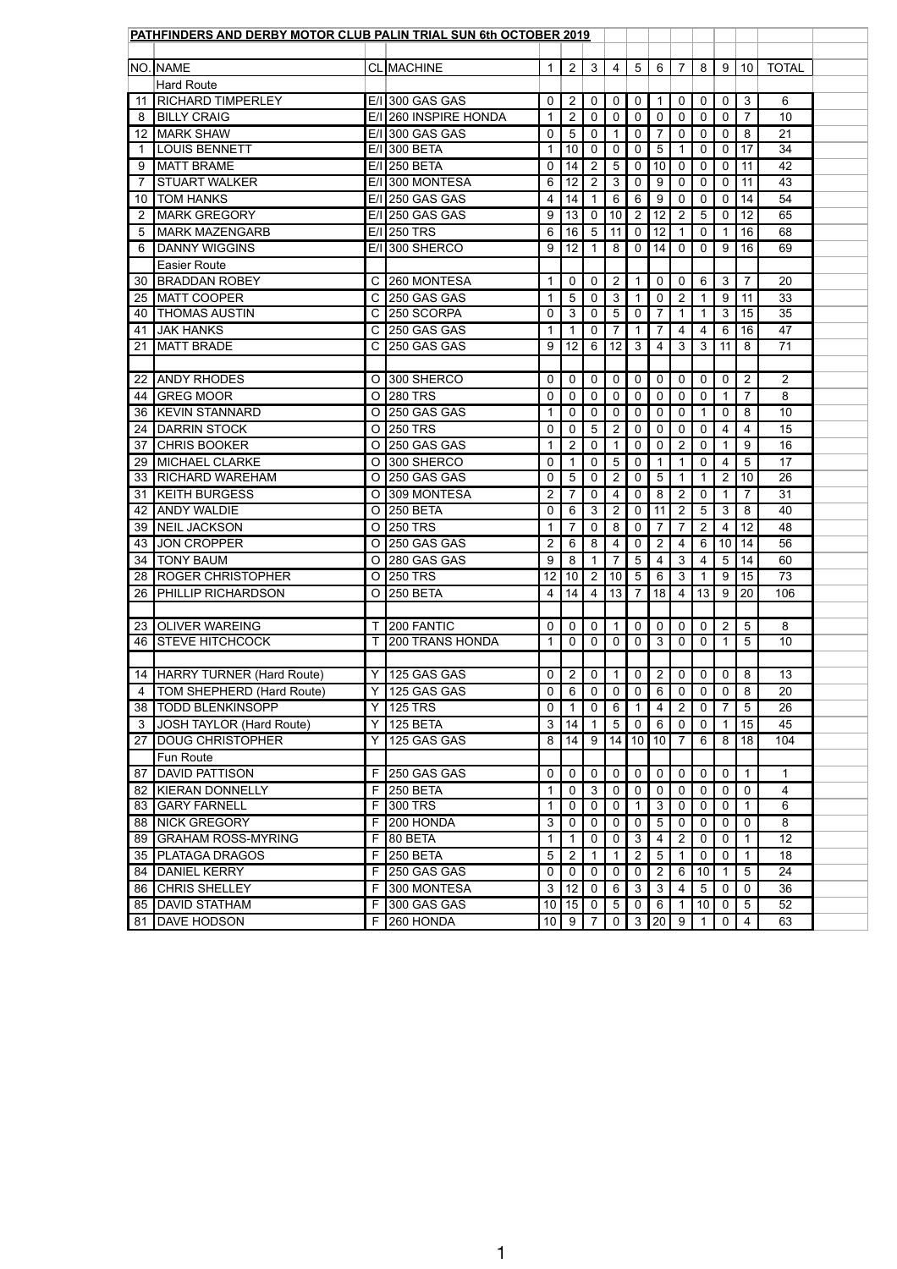|    | PATHFINDERS AND DERBY MOTOR CLUB PALIN TRIAL SUN 6th OCTOBER 2019 |                |                        |                 |                 |                 |                 |                |                 |                |                       |                |                 |                |  |
|----|-------------------------------------------------------------------|----------------|------------------------|-----------------|-----------------|-----------------|-----------------|----------------|-----------------|----------------|-----------------------|----------------|-----------------|----------------|--|
|    |                                                                   |                |                        |                 |                 |                 |                 |                |                 |                |                       |                |                 |                |  |
|    | NO. NAME                                                          |                | <b>CL MACHINE</b>      |                 | $2^{\circ}$     | $\mathbf{3}$    | $\overline{4}$  | 5              | $6\overline{6}$ | $\overline{7}$ | 8                     | 9              | 10 <sup>°</sup> | <b>TOTAL</b>   |  |
|    | <b>Hard Route</b>                                                 |                |                        |                 |                 |                 |                 |                |                 |                |                       |                |                 |                |  |
| 11 | <b>RICHARD TIMPERLEY</b>                                          |                | $E/I$ 300 GAS GAS      | 0               | $\overline{2}$  | $\overline{0}$  | 0               | $\mathbf 0$    |                 | 0              | 0                     | $\mathbf 0$    | $\mathfrak{S}$  | 6              |  |
| 8  | <b>BILLY CRAIG</b>                                                |                | E/I 260 INSPIRE HONDA  |                 | $\overline{2}$  | 0               | 0               | $\mathbf 0$    | 0               | 0              | 0                     | $\mathbf 0$    | $\overline{7}$  | 10             |  |
| 12 | <b>MARK SHAW</b>                                                  |                | $E/I$ 300 GAS GAS      | 0               | 5               | 0               | 1               | $\mathbf 0$    |                 | $\mathbf{0}$   | 0                     | $\mathbf 0$    | 8               | 21             |  |
|    | <b>LOUIS BENNETT</b>                                              |                | E/I 300 BETA           |                 | 10 <sup>°</sup> | $\mathbf{0}$    | $\mathbf 0$     | $\mathbf 0$    | 5               |                | 0                     | 0              | 17              | 34             |  |
| 9  | <b>MATT BRAME</b>                                                 |                | $E/I$ 250 BETA         | 0               | 14              | 2               | $5\phantom{.0}$ | $\mathbf 0$    | 10              | 0              | 0                     | 0              | 11              | 42             |  |
|    | <b>STUART WALKER</b>                                              |                | E/I 300 MONTESA        | 6               | 12 <sub>2</sub> | $\overline{2}$  | 3               | $\mathbf 0$    | 9               | 0              | 0                     | $\mathbf 0$    | 11              | 43             |  |
| 10 | <b>TOM HANKS</b>                                                  |                | $E/I$ 250 GAS GAS      | 4               | 14              |                 | $6\phantom{1}$  | 6              | 9               | 0              | 0                     | $\mathbf 0$    | 14              | 54             |  |
|    | <b>MARK GREGORY</b>                                               |                | $E/I$   250 GAS GAS    | 9               | 13              | 0               | 10              | $\overline{2}$ | 12              | $\overline{2}$ | 5                     | $\mathbf 0$    | 12              | 65             |  |
| 5  | <b>MARK MAZENGARB</b>                                             |                | $E/I$ 250 TRS          | 6               | 16 <sup>°</sup> | $5\overline{)}$ | 11              | $\mathbf 0$    | 12              |                | 0                     |                | 16              | 68             |  |
| 6  | <b>DANNY WIGGINS</b>                                              |                | E/I 300 SHERCO         | 9               | 12              |                 | 8               | $\mathbf 0$    | 14              | 0              | 0                     | 9              | 16              | 69             |  |
|    | <b>Easier Route</b>                                               |                |                        |                 |                 |                 |                 |                |                 |                |                       |                |                 |                |  |
| 30 | <b>BRADDAN ROBEY</b>                                              | $\mathsf{C}$   | 260 MONTESA            |                 | 0               | 0               | $\overline{2}$  | 1              | 0               | $\mathbf{0}$   | 6                     | $\mathbf{3}$   | $\overline{7}$  | 20             |  |
| 25 | <b>IMATT COOPER</b>                                               | $\mathsf{C}$   | 250 GAS GAS            |                 | 5               | 0               | 3               |                | 0               | $\overline{2}$ |                       | 9              | 11              | 33             |  |
| 40 | <b>THOMAS AUSTIN</b>                                              | $\mathsf{C}$   | 250 SCORPA             | 0               | 3               | 0               | 5               | $\mathbf 0$    |                 |                |                       | 3              | 15              | 35             |  |
| 41 | <b>JAK HANKS</b>                                                  |                | C 250 GAS GAS          |                 |                 | 0               | $\overline{7}$  |                |                 | 4              | 4                     | 6              | 16              | 47             |  |
| 21 | <b>IMATT BRADE</b>                                                | $\mathsf{C}$   | 250 GAS GAS            | 9               | 12 <sup>°</sup> | 6               | 12              | 3              | 4               | 3              | 3                     | 11             | 8               | 71             |  |
|    |                                                                   |                |                        |                 |                 |                 |                 |                |                 |                |                       |                |                 |                |  |
| 22 | <b>ANDY RHODES</b>                                                | $\overline{O}$ | 300 SHERCO             | 0               | $\overline{0}$  | 0               | $\mathbf 0$     | $\mathbf 0$    | 0               | $\mathbf 0$    | 0                     | $\mathbf 0$    | $\overline{2}$  | $\overline{2}$ |  |
| 44 | <b>GREG MOOR</b>                                                  | $\overline{O}$ | <b>280 TRS</b>         | 0               | $\mathbf{0}$    | 0               | 0               | $\mathbf 0$    | 0               | $\overline{0}$ | 0                     | 1              | $\overline{7}$  | 8              |  |
| 36 | <b>KEVIN STANNARD</b>                                             |                | O 250 GAS GAS          |                 | $\mathbf{0}$    | $\mathbf 0$     | 0               | $\mathbf 0$    | 0               | $\mathbf 0$    |                       | $\mathbf 0$    | 8               | 10             |  |
| 24 | <b>DARRIN STOCK</b>                                               | $\overline{O}$ | <b>250 TRS</b>         | 0               | 0               | 5               | $\overline{2}$  | $\mathbf 0$    | $\Omega$        | 0              | 0                     | 4              | 4               | 15             |  |
| 37 | <b>CHRIS BOOKER</b>                                               | $\overline{O}$ | 250 GAS GAS            |                 | $\overline{2}$  | 0               | 1               | $\mathbf 0$    | 0               | $\overline{2}$ | 0                     |                | 9               | 16             |  |
| 29 | <b>IMICHAEL CLARKE</b>                                            | $\overline{O}$ | 300 SHERCO             | 0 <sup>1</sup>  | 1 <sup>1</sup>  | $\mathbf 0$     | $5\phantom{.0}$ | $\mathbf 0$    | $\mathbf 1$     | $\mathbf{1}$   | $\mathbf 0$           | 4              | 5               | 17             |  |
| 33 | <b>RICHARD WAREHAM</b>                                            | $\overline{O}$ | 250 GAS GAS            | $\mathbf{0}$    | 5 <sup>5</sup>  | $\mathbf 0$     | 2               | $\mathbf 0$    | 5 <sup>1</sup>  | $\mathbf{1}$   | $\mathbf{1}$          | $\overline{2}$ | 10              | 26             |  |
| 31 | <b>KEITH BURGESS</b>                                              | $\overline{O}$ | 309 MONTESA            | $\overline{2}$  |                 | 0               | 4               | $\mathbf 0$    | 8               | $\overline{2}$ | 0                     |                | $\overline{7}$  | 31             |  |
| 42 | <b>ANDY WALDIE</b>                                                | $\circ$        | <b>250 BETA</b>        | $\mathbf 0$     | $6 \,$          | 3               | $\overline{2}$  | $\mathbf 0$    | 11              | $\overline{2}$ | 5                     | 3              | 8               | 40             |  |
| 39 | <b>NEIL JACKSON</b>                                               | $\overline{O}$ | <b>250 TRS</b>         |                 | 7               | 0               | 8               | $\mathbf 0$    | $\overline{7}$  |                | $\overline{2}$        | $\overline{4}$ | 12              | 48             |  |
| 43 | <b>JON CROPPER</b>                                                | $\overline{O}$ | 250 GAS GAS            | $\overline{2}$  | 6 <sup>1</sup>  | 8               | 4               | $\mathbf 0$    | $\overline{2}$  | 4              | 6                     | 10             | 14              | 56             |  |
| 34 | <b>TONY BAUM</b>                                                  | $\overline{O}$ | 280 GAS GAS            | 9               | 8               |                 | $\overline{7}$  | 5              | 4               | 3 <sup>1</sup> | 4                     | $5\phantom{1}$ | 14              | 60             |  |
| 28 | <b>ROGER CHRISTOPHER</b>                                          |                | O 250 TRS              | 12              | 10 <sup>°</sup> | $\overline{2}$  | 10              | 5              | 6               | 3 <sup>1</sup> |                       | 9              | 15              | 73             |  |
| 26 | <b>PHILLIP RICHARDSON</b>                                         | $\overline{O}$ | <b>250 BETA</b>        | $\overline{4}$  | 14              | 4               | 13              | $\overline{7}$ | 18              | $\overline{4}$ | 13                    | 9              | 20              | 106            |  |
|    |                                                                   |                |                        |                 |                 |                 |                 |                |                 |                |                       |                |                 |                |  |
| 23 | <b>OLIVER WAREING</b>                                             |                | 200 FANTIC             | 0               | $\overline{0}$  | $\mathbf 0$     | $\mathbf{1}$    | $\mathbf 0$    | 0               | 0              | 0                     | $\overline{2}$ | 5               | 8              |  |
|    | <b>46 STEVE HITCHCOCK</b>                                         |                | <b>200 TRANS HONDA</b> |                 | $\overline{0}$  | $\mathbf 0$     | $\overline{0}$  | $\overline{0}$ | 3               | $\overline{0}$ | $\Omega$              |                | 5               | 10             |  |
|    |                                                                   |                |                        |                 |                 |                 |                 |                |                 |                |                       |                |                 |                |  |
|    | 14 HARRY TURNER (Hard Route)                                      | Y              | 125 GAS GAS            | $\overline{0}$  | 2 <sup>7</sup>  | 0               | 1               | $\mathbf 0$    | $\overline{2}$  | $\overline{0}$ | $\mathbf{0}$          | $\mathbf 0$    | 8               | 13             |  |
| 4  | TOM SHEPHERD (Hard Route)                                         | Y              | 125 GAS GAS            | 0               | 6 <sup>1</sup>  | 0               | $\mathbf 0$     | $\overline{0}$ | 6               | 0              | 0                     | $\mathbf 0$    | 8               | 20             |  |
| 38 | <b>TODD BLENKINSOPP</b>                                           | Y              | <b>125 TRS</b>         | 0               |                 | 0               | 6               | $\mathbf 1$    | 4               | $\overline{2}$ | 0                     | $\overline{7}$ | 5               | 26             |  |
| 3  | JOSH TAYLOR (Hard Route)                                          | Y              | 125 BETA               | 3               | 14              |                 | 5               | $\overline{0}$ | 6               | $\mathbf 0$    | 0                     | 1              | 15              | 45             |  |
| 27 | <b>DOUG CHRISTOPHER</b>                                           | Y              | 125 GAS GAS            | 8               | 14              | 9               | 14              | 10             | 10              | $\overline{7}$ | 6                     | 8              | 18              | 104            |  |
|    | <b>Fun Route</b>                                                  |                |                        |                 |                 |                 |                 |                |                 |                |                       |                |                 |                |  |
| 87 | <b>DAVID PATTISON</b>                                             |                | 250 GAS GAS            | 0               | $\mathbf 0$     | 0               | $\mathbf 0$     | $\mathbf 0$    | $\mathbf 0$     | $\overline{0}$ | $\mathbf 0$           | $\overline{0}$ | $\mathbf{1}$    | $\mathbf{1}$   |  |
| 82 | KIERAN DONNELLY                                                   | F              | <b>250 BETA</b>        | 1               | $\mathbf 0$     | 3               | $\mathbf 0$     | $\mathbf 0$    | 0               | $\mathbf 0$    | 0                     | $\mathbf 0$    | $\mathbf 0$     | 4              |  |
| 83 | <b>GARY FARNELL</b>                                               | F.             | 300 TRS                | 1               | $\overline{0}$  | 0               | $\mathbf 0$     | 1              | 3               | 0              | 0                     | $\mathbf 0$    | 1               | 6              |  |
| 88 | <b>INICK GREGORY</b>                                              | F I            | 200 HONDA              | 3               | 0               | 0               | $\mathbf 0$     | $\mathbf 0$    | 5               | 0              | 0                     | $\mathbf 0$    | $\mathbf 0$     | 8              |  |
| 89 | <b>GRAHAM ROSS-MYRING</b>                                         |                | F 80 BETA              | 1               |                 | 0               | $\mathbf 0$     | 3              | 4               | $\overline{2}$ | 0                     | $\mathbf 0$    | $\mathbf 1$     | 12             |  |
| 35 | <b>PLATAGA DRAGOS</b>                                             | F.             | <b>250 BETA</b>        | 5               | $\overline{2}$  |                 | 1               | $\overline{2}$ | 5               |                | 0                     | $\overline{0}$ | $\mathbf 1$     | 18             |  |
| 84 | DANIEL KERRY                                                      |                | <b>F 250 GAS GAS</b>   | $\overline{0}$  | $\overline{0}$  | 0               | $\mathbf 0$     | $\mathbf 0$    | $\overline{2}$  | $6^{\circ}$    | 10                    | 1              | 5               | 24             |  |
| 86 | <b>CHRIS SHELLEY</b>                                              | F.             | 300 MONTESA            | 3               | 12 <sub>2</sub> | 0               | $6\phantom{1}$  | 3              | 3               | 4              | 5                     | $\mathbf 0$    | $\mathbf 0$     | 36             |  |
| 85 | <b>DAVID STATHAM</b>                                              | F.             | 300 GAS GAS            | 10 <sup>1</sup> | 15              | $\mathbf 0$     | 5               | $\mathbf 0$    | 6               |                | 10                    | $\overline{0}$ | 5               | 52             |  |
|    | 81 DAVE HODSON                                                    |                | $F$ 260 HONDA          |                 |                 |                 |                 |                |                 |                | 10 9 7 0 3 20 9 1 0 4 |                |                 | 63             |  |